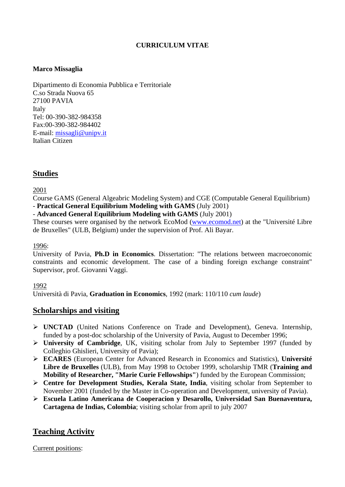## **CURRICULUM VITAE**

## **Marco Missaglia**

Dipartimento di Economia Pubblica e Territoriale C.so Strada Nuova 65 27100 PAVIA Italy Tel: 00-390-382-984358 Fax:00-390-382-984402 E-mail: [missagli@unipv.it](mailto:missagli@unipv.it) Italian Citizen

# **Studies**

2001

Course GAMS (General Algeabric Modeling System) and CGE (Computable General Equilibrium) - **Practical General Equilibrium Modeling with GAMS** (July 2001)

- **Advanced General Equilibrium Modeling with GAMS** (July 2001)

These courses were organised by the network EcoMod [\(www.ecomod.net](http://www.ecomod.net/)) at the "Université Libre de Bruxelles" (ULB, Belgium) under the supervision of Prof. Ali Bayar.

### 1996:

University of Pavia, **Ph.D in Economics**. Dissertation: "The relations between macroeconomic constraints and economic development. The case of a binding foreign exchange constraint" Supervisor, prof. Giovanni Vaggi.

### 1992

Università di Pavia, **Graduation in Economics**, 1992 (mark: 110/110 *cum laude*)

# **Scholarships and visiting**

- ¾ **UNCTAD** (United Nations Conference on Trade and Development), Geneva. Internship, funded by a post-doc scholarship of the University of Pavia, August to December 1996;
- ¾ **University of Cambridge**, UK, visiting scholar from July to September 1997 (funded by Colleghio Ghislieri, University of Pavia);
- ¾ **ECARES** (European Center for Advanced Research in Economics and Statistics), **Université Libre de Bruxelles** (ULB), from May 1998 to October 1999, scholarship TMR (**Training and Mobility of Researcher, "Marie Curie Fellowships"**) funded by the European Commission;
- ¾ **Centre for Development Studies, Kerala State, India**, visiting scholar from September to November 2001 (funded by the Master in Co-operation and Development, university of Pavia).
- ¾ **Escuela Latino Americana de Cooperacion y Desarollo, Universidad San Buenaventura, Cartagena de Indias, Colombia**; visiting scholar from april to july 2007

# **Teaching Activity**

Current positions: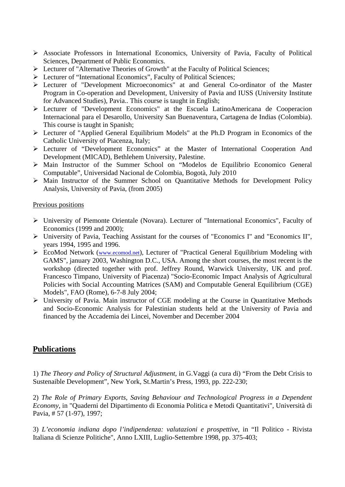- ¾ Associate Professors in International Economics, University of Pavia, Faculty of Political Sciences, Department of Public Economics.
- ¾ Lecturer of "Alternative Theories of Growth" at the Faculty of Political Sciences;
- ¾ Lecturer of "International Economics", Faculty of Political Sciences;
- ¾ Lecturer of "Development Microeconomics" at and General Co-ordinator of the Master Program in Co-operation and Development, University of Pavia and IUSS (University Institute for Advanced Studies), Pavia.. This course is taught in English;
- ¾ Lecturer of "Development Economics" at the Escuela LatinoAmericana de Cooperacion Internacional para el Desarollo, University San Buenaventura, Cartagena de Indias (Colombia). This course is taught in Spanish;
- ¾ Lecturer of "Applied General Equilibrium Models" at the Ph.D Program in Economics of the Catholic University of Piacenza, Italy;
- ¾ Lecturer of "Development Economics" at the Master of International Cooperation And Development (MICAD), Bethlehem University, Palestine.
- ¾ Main Instructor of the Summer School on "Modelos de Equilibrio Economico General Computable", Universidad Nacional de Colombia, Bogotà, July 2010
- $\triangleright$  Main Instructor of the Summer School on Quantitative Methods for Development Policy Analysis, University of Pavia, (from 2005)

### Previous positions

- ¾ University of Piemonte Orientale (Novara). Lecturer of "International Economics", Faculty of Economics (1999 and 2000);
- ¾ University of Pavia, Teaching Assistant for the courses of "Economics I" and "Economics II", years 1994, 1995 and 1996.
- ¾ EcoMod Network [\(www.ecomod.net\)](http://www.ecomod.net/), Lecturer of "Practical General Equilibrium Modeling with GAMS", january 2003, Washington D.C., USA. Among the short courses, the most recent is the workshop (directed together with prof. Jeffrey Round, Warwick University, UK and prof. Francesco Timpano, University of Piacenza) "Socio-Economic Impact Analysis of Agricultural Policies with Social Accounting Matrices (SAM) and Computable General Equilibrium (CGE) Models", FAO (Rome), 6-7-8 July 2004;
- ¾ University of Pavia. Main instructor of CGE modeling at the Course in Quantitative Methods and Socio-Economic Analysis for Palestinian students held at the University of Pavia and financed by the Accademia dei Lincei, November and December 2004

# **Publications**

1) *The Theory and Policy of Structural Adjustment*, in G.Vaggi (a cura di) "From the Debt Crisis to Sustenaible Development", New York, St.Martin's Press, 1993, pp. 222-230;

2) *The Role of Primary Exports, Saving Behaviour and Technological Progress in a Dependent Economy*, in "Quaderni del Dipartimento di Economia Politica e Metodi Quantitativi", Università di Pavia, # 57 (1-97), 1997;

3) *L'economia indiana dopo l'indipendenza: valutazioni e prospettive*, in "Il Politico - Rivista Italiana di Scienze Politiche", Anno LXIII, Luglio-Settembre 1998, pp. 375-403;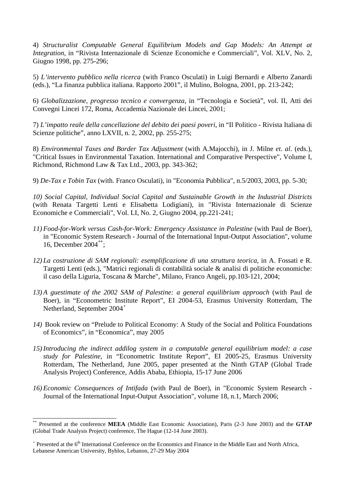4) *Structuralist Computable General Equilibrium Models and Gap Models: An Attempt at Integration*, in "Rivista Internazionale di Scienze Economiche e Commerciali", Vol. XLV, No. 2, Giugno 1998, pp. 275-296;

5) *L'intervento pubblico nella ricerca* (with Franco Osculati) in Luigi Bernardi e Alberto Zanardi (eds.), "La finanza pubblica italiana. Rapporto 2001", il Mulino, Bologna, 2001, pp. 213-242;

6) *Globalizzazione, progresso tecnico e convergenza*, in "Tecnologia e Società", vol. II, Atti dei Convegni Lincei 172, Roma, Accademia Nazionale dei Lincei, 2001;

7) *L'impatto reale della cancellazione del debito dei paesi poveri*, in "Il Politico - Rivista Italiana di Scienze politiche", anno LXVII, n. 2, 2002, pp. 255-275;

8) *Environmental Taxes and Border Tax Adjustment* (with A.Majocchi), in J. Milne *et. al*. (eds.), "Critical Issues in Environmental Taxation. International and Comparative Perspective", Volume I, Richmond, Richmond Law & Tax Ltd., 2003, pp. 343-362;

9) *De-Tax e Tobin Tax* (with. Franco Osculati), in "Economia Pubblica", n.5/2003, 2003, pp. 5-30;

*10) Social Capital, Individual Social Capital and Sustainable Growth in the Industrial Districts* (with Renata Targetti Lenti e Elisabetta Lodigiani), in "Rivista Internazionale di Scienze Economiche e Commerciali", Vol. LI, No. 2, Giugno 2004, pp.221-241;

- *11) Food-for-Work versus Cash-for-Work: Emergency Assistance in Palestine* (with Paul de Boer), in "Economic System Research - Journal of the International Input-Output Association", volume 16, December 2004[\\*\\*](#page-2-0);
- *12) La costruzione di SAM regionali: esemplificazione di una struttura teorica*, in A. Fossati e R. Targetti Lenti (eds.), "Matrici regionali di contabilità sociale & analisi di politiche economiche: il caso della Liguria, Toscana & Marche", Milano, Franco Angeli, pp.103-121, 2004;
- *13) A guestimate of the 2002 SAM of Palestine: a general equilibrium approach* (with Paul de Boer), in "Econometric Institute Report", EI 2004-53, Erasmus University Rotterdam, The Netherland, September 2004<sup>[+](#page-2-1)</sup>
- *14)* Book review on "Prelude to Political Economy: A Study of the Social and Politica Foundations of Economics", in "Economica", may 2005
- *15)Introducing the indirect addilog system in a computable general equilibrium model: a case study for Palestine*, in "Econometric Institute Report", EI 2005-25, Erasmus University Rotterdam, The Netherland, June 2005, paper presented at the Ninth GTAP (Global Trade Analysis Project) Conference, Addis Ababa, Ethiopia, 15-17 June 2006
- *16) Economic Consequences of Intifada* (with Paul de Boer), in "Economic System Research Journal of the International Input-Output Association", volume 18, n.1, March 2006;

 $\overline{\phantom{a}}$ 

<span id="page-2-0"></span><sup>\*\*</sup> Presented at the conference **MEEA** (Middle East Economic Association), Paris (2-3 June 2003) and the **GTAP** (Global Trade Analysis Project) conference, The Hague (12-14 June 2003).

<span id="page-2-1"></span><sup>&</sup>lt;sup>+</sup> Presented at the 6<sup>th</sup> International Conference on the Economics and Finance in the Middle East and North Africa, Lebanese American University, Byblos, Lebanon, 27-29 May 2004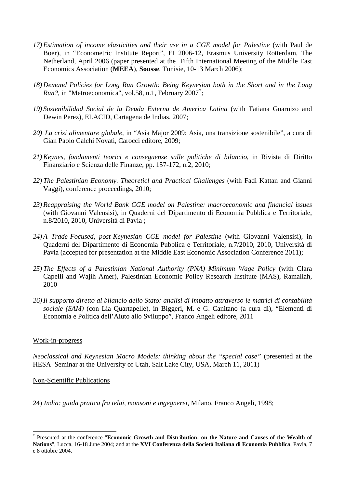- *17) Estimation of income elasticities and their use in a CGE model for Palestine* (with Paul de Boer), in "Econometric Institute Report", EI 2006-12, Erasmus University Rotterdam, The Netherland, April 2006 (paper presented at the Fifth International Meeting of the Middle East Economics Association (**MEEA**), **Sousse**, Tunisie, 10-13 March 2006);
- *18) Demand Policies for Long Run Growth: Being Keynesian both in the Short and in the Long*  Run?, in "Metroeconomica", vol.58, n.1, February 2007<sup>[\\*](#page-3-0)</sup>;
- *19) Sostenibilidad Social de la Deuda Externa de America Latina* (with Tatiana Guarnizo and Dewin Perez), ELACID, Cartagena de Indias, 2007;
- *20) La crisi alimentare globale*, in "Asia Major 2009: Asia, una transizione sostenibile", a cura di Gian Paolo Calchi Novati, Carocci editore, 2009;
- *21)Keynes, fondamenti teorici e conseguenze sulle politiche di bilancio*, in Rivista di Diritto Finanziario e Scienza delle Finanze, pp. 157-172, n.2, 2010;
- *22) The Palestinian Economy. Theoreticl and Practical Challenges* (with Fadi Kattan and Gianni Vaggi), conference proceedings, 2010;
- *23) Reappraising the World Bank CGE model on Palestine: macroeconomic and financial issues* (with Giovanni Valensisi), in Quaderni del Dipartimento di Economia Pubblica e Territoriale, n.8/2010, 2010, Università di Pavia ;
- *24) A Trade-Focused, post-Keynesian CGE model for Palestine* (with Giovanni Valensisi), in Quaderni del Dipartimento di Economia Pubblica e Territoriale, n.7/2010, 2010, Università di Pavia (accepted for presentation at the Middle East Economic Association Conference 2011);
- *25) The Effects of a Palestinian National Authority (PNA) Minimum Wage Policy* (with Clara Capelli and Wajih Amer), Palestinian Economic Policy Research Institute (MAS), Ramallah, 2010
- *26)Il supporto diretto al bilancio dello Stato: analisi di impatto attraverso le matrici di contabilità sociale (SAM)* (con Lia Quartapelle), in Biggeri, M. e G. Canitano (a cura di), "Elementi di Economia e Politica dell'Aiuto allo Sviluppo", Franco Angeli editore, 2011

### Work-in-progress

 $\overline{\phantom{a}}$ 

*Neoclassical and Keynesian Macro Models: thinking about the "special case"* (presented at the HESA Seminar at the University of Utah, Salt Lake City, USA, March 11, 2011)

### Non-Scientific Publications

24) *India: guida pratica fra telai, monsoni e ingegnerei*, Milano, Franco Angeli, 1998;

<span id="page-3-0"></span><sup>\*</sup> Presented at the conference "**Economic Growth and Distribution: on the Nature and Causes of the Wealth of Nations**", Lucca, 16-18 June 2004; and at the **XVI Conferenza della Società Italiana di Economia Pubblica**, Pavia, 7 e 8 ottobre 2004.